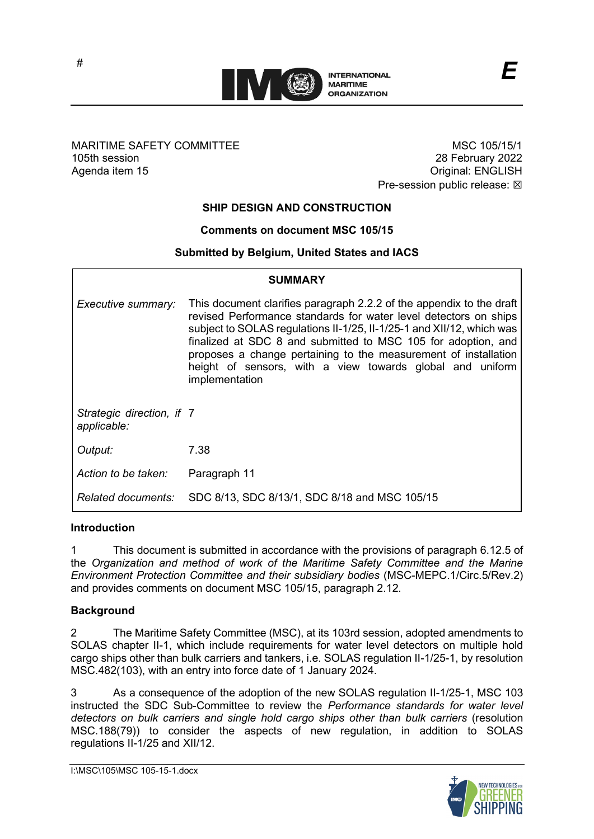

## MARITIME SAFETY COMMITTEE 105th session Agenda item 15

MSC 105/15/1 28 February 2022 Original: ENGLISH Pre-session public release:  $\boxtimes$ 

## **SHIP DESIGN AND CONSTRUCTION**

## **Comments on document MSC 105/15**

### **Submitted by Belgium, United States and IACS**

| <b>SUMMARY</b>                           |                                                                                                                                                                                                                                                                                                                                                                                                                                      |
|------------------------------------------|--------------------------------------------------------------------------------------------------------------------------------------------------------------------------------------------------------------------------------------------------------------------------------------------------------------------------------------------------------------------------------------------------------------------------------------|
| Executive summary:                       | This document clarifies paragraph 2.2.2 of the appendix to the draft<br>revised Performance standards for water level detectors on ships<br>subject to SOLAS regulations II-1/25, II-1/25-1 and XII/12, which was<br>finalized at SDC 8 and submitted to MSC 105 for adoption, and<br>proposes a change pertaining to the measurement of installation<br>height of sensors, with a view towards global and uniform<br>implementation |
| Strategic direction, if 7<br>applicable: |                                                                                                                                                                                                                                                                                                                                                                                                                                      |
| Output:                                  | 7.38                                                                                                                                                                                                                                                                                                                                                                                                                                 |
| Action to be taken:                      | Paragraph 11                                                                                                                                                                                                                                                                                                                                                                                                                         |
| <b>Related documents:</b>                | SDC 8/13, SDC 8/13/1, SDC 8/18 and MSC 105/15                                                                                                                                                                                                                                                                                                                                                                                        |

#### **Introduction**

1 This document is submitted in accordance with the provisions of paragraph 6.12.5 of the *Organization and method of work of the Maritime Safety Committee and the Marine Environment Protection Committee and their subsidiary bodies* (MSC-MEPC.1/Circ.5/Rev.2) and provides comments on document MSC 105/15, paragraph 2.12.

### **Background**

2 The Maritime Safety Committee (MSC), at its 103rd session, adopted amendments to SOLAS chapter II-1, which include requirements for water level detectors on multiple hold cargo ships other than bulk carriers and tankers, i.e. SOLAS regulation II-1/25-1, by resolution MSC.482(103), with an entry into force date of 1 January 2024.

3 As a consequence of the adoption of the new SOLAS regulation II-1/25-1, MSC 103 instructed the SDC Sub-Committee to review the *Performance standards for water level detectors on bulk carriers and single hold cargo ships other than bulk carriers* (resolution MSC.188(79)) to consider the aspects of new regulation, in addition to SOLAS regulations II-1/25 and XII/12.

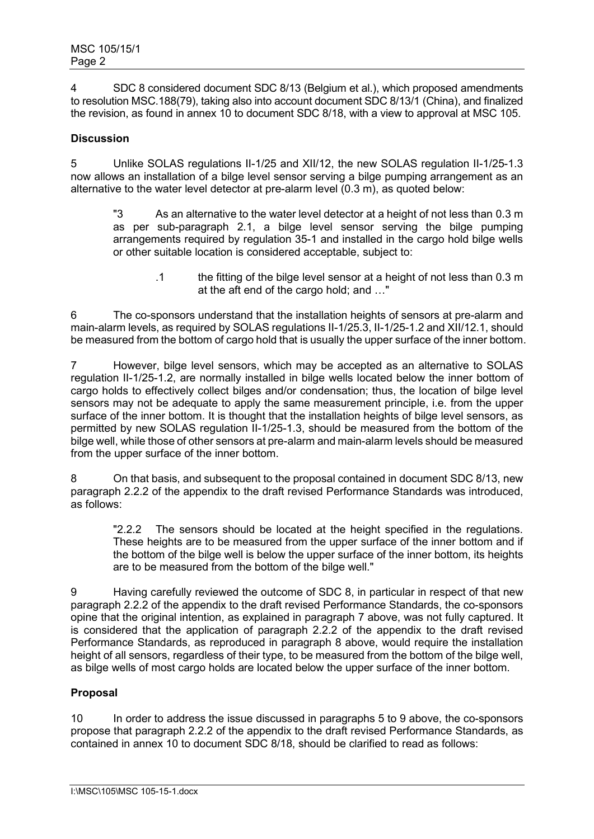4 SDC 8 considered document SDC 8/13 (Belgium et al.), which proposed amendments to resolution MSC.188(79), taking also into account document SDC 8/13/1 (China), and finalized the revision, as found in annex 10 to document SDC 8/18, with a view to approval at MSC 105.

## **Discussion**

5 Unlike SOLAS regulations II-1/25 and XII/12, the new SOLAS regulation II-1/25-1.3 now allows an installation of a bilge level sensor serving a bilge pumping arrangement as an alternative to the water level detector at pre-alarm level (0.3 m), as quoted below:

"3 As an alternative to the water level detector at a height of not less than 0.3 m as per sub-paragraph 2.1, a bilge level sensor serving the bilge pumping arrangements required by regulation 35-1 and installed in the cargo hold bilge wells or other suitable location is considered acceptable, subject to:

> .1 the fitting of the bilge level sensor at a height of not less than 0.3 m at the aft end of the cargo hold; and …"

6 The co-sponsors understand that the installation heights of sensors at pre-alarm and main-alarm levels, as required by SOLAS regulations II-1/25.3, II-1/25-1.2 and XII/12.1, should be measured from the bottom of cargo hold that is usually the upper surface of the inner bottom.

7 However, bilge level sensors, which may be accepted as an alternative to SOLAS regulation II-1/25-1.2, are normally installed in bilge wells located below the inner bottom of cargo holds to effectively collect bilges and/or condensation; thus, the location of bilge level sensors may not be adequate to apply the same measurement principle, i.e. from the upper surface of the inner bottom. It is thought that the installation heights of bilge level sensors, as permitted by new SOLAS regulation II-1/25-1.3, should be measured from the bottom of the bilge well, while those of other sensors at pre-alarm and main-alarm levels should be measured from the upper surface of the inner bottom.

8 On that basis, and subsequent to the proposal contained in document SDC 8/13, new paragraph 2.2.2 of the appendix to the draft revised Performance Standards was introduced, as follows:

"2.2.2 The sensors should be located at the height specified in the regulations. These heights are to be measured from the upper surface of the inner bottom and if the bottom of the bilge well is below the upper surface of the inner bottom, its heights are to be measured from the bottom of the bilge well."

9 Having carefully reviewed the outcome of SDC 8, in particular in respect of that new paragraph 2.2.2 of the appendix to the draft revised Performance Standards, the co-sponsors opine that the original intention, as explained in paragraph 7 above, was not fully captured. It is considered that the application of paragraph 2.2.2 of the appendix to the draft revised Performance Standards, as reproduced in paragraph 8 above, would require the installation height of all sensors, regardless of their type, to be measured from the bottom of the bilge well, as bilge wells of most cargo holds are located below the upper surface of the inner bottom.

# **Proposal**

10 In order to address the issue discussed in paragraphs 5 to 9 above, the co-sponsors propose that paragraph 2.2.2 of the appendix to the draft revised Performance Standards, as contained in annex 10 to document SDC 8/18, should be clarified to read as follows: